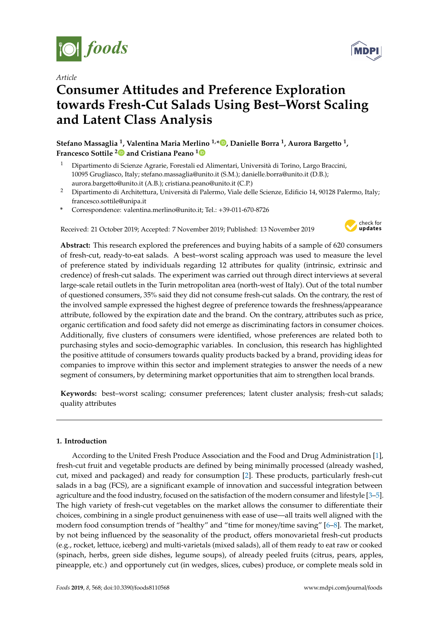

*Article*

# **Consumer Attitudes and Preference Exploration towards Fresh-Cut Salads Using Best–Worst Scaling and Latent Class Analysis**

**Stefano Massaglia 1, Valentina Maria Merlino 1,\* , Danielle Borra 1, Aurora Bargetto 1, Francesco Sottile <sup>2</sup> and Cristiana Peano <sup>1</sup>**

- <sup>1</sup> Dipartimento di Scienze Agrarie, Forestali ed Alimentari, Università di Torino, Largo Braccini, 10095 Grugliasco, Italy; stefano.massaglia@unito.it (S.M.); danielle.borra@unito.it (D.B.); aurora.bargetto@unito.it (A.B.); cristiana.peano@unito.it (C.P.)
- <sup>2</sup> Dipartimento di Architettura, Università di Palermo, Viale delle Scienze, Edificio 14, 90128 Palermo, Italy; francesco.sottile@unipa.it
- **\*** Correspondence: valentina.merlino@unito.it; Tel.: +39-011-670-8726

Received: 21 October 2019; Accepted: 7 November 2019; Published: 13 November 2019



**Abstract:** This research explored the preferences and buying habits of a sample of 620 consumers of fresh-cut, ready-to-eat salads. A best–worst scaling approach was used to measure the level of preference stated by individuals regarding 12 attributes for quality (intrinsic, extrinsic and credence) of fresh-cut salads. The experiment was carried out through direct interviews at several large-scale retail outlets in the Turin metropolitan area (north-west of Italy). Out of the total number of questioned consumers, 35% said they did not consume fresh-cut salads. On the contrary, the rest of the involved sample expressed the highest degree of preference towards the freshness/appearance attribute, followed by the expiration date and the brand. On the contrary, attributes such as price, organic certification and food safety did not emerge as discriminating factors in consumer choices. Additionally, five clusters of consumers were identified, whose preferences are related both to purchasing styles and socio-demographic variables. In conclusion, this research has highlighted the positive attitude of consumers towards quality products backed by a brand, providing ideas for companies to improve within this sector and implement strategies to answer the needs of a new segment of consumers, by determining market opportunities that aim to strengthen local brands.

**Keywords:** best–worst scaling; consumer preferences; latent cluster analysis; fresh-cut salads; quality attributes

# **1. Introduction**

According to the United Fresh Produce Association and the Food and Drug Administration [1], fresh-cut fruit and vegetable products are defined by being minimally processed (already washed, cut, mixed and packaged) and ready for consumption [2]. These products, particularly fresh-cut salads in a bag (FCS), are a significant example of innovation and successful integration between agriculture and the food industry, focused on the satisfaction of the modern consumer and lifestyle [3–5]. The high variety of fresh-cut vegetables on the market allows the consumer to differentiate their choices, combining in a single product genuineness with ease of use—all traits well aligned with the modern food consumption trends of "healthy" and "time for money/time saving" [6–8]. The market, by not being influenced by the seasonality of the product, offers monovarietal fresh-cut products (e.g., rocket, lettuce, iceberg) and multi-varietals (mixed salads), all of them ready to eat raw or cooked (spinach, herbs, green side dishes, legume soups), of already peeled fruits (citrus, pears, apples, pineapple, etc.) and opportunely cut (in wedges, slices, cubes) produce, or complete meals sold in

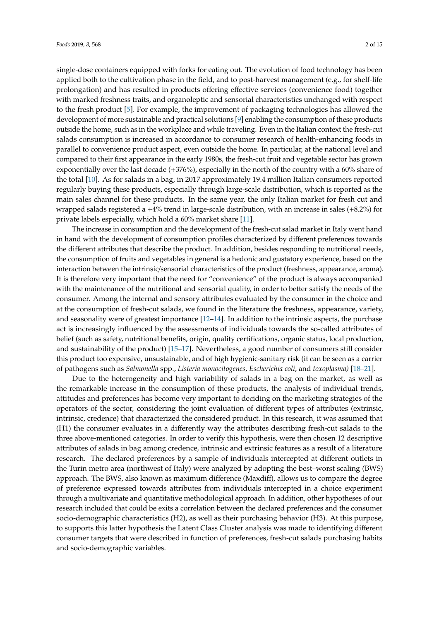single-dose containers equipped with forks for eating out. The evolution of food technology has been applied both to the cultivation phase in the field, and to post-harvest management (e.g., for shelf-life prolongation) and has resulted in products offering effective services (convenience food) together with marked freshness traits, and organoleptic and sensorial characteristics unchanged with respect to the fresh product [5]. For example, the improvement of packaging technologies has allowed the development of more sustainable and practical solutions [9] enabling the consumption of these products outside the home, such as in the workplace and while traveling. Even in the Italian context the fresh-cut salads consumption is increased in accordance to consumer research of health-enhancing foods in parallel to convenience product aspect, even outside the home. In particular, at the national level and compared to their first appearance in the early 1980s, the fresh-cut fruit and vegetable sector has grown exponentially over the last decade (+376%), especially in the north of the country with a 60% share of the total [10]. As for salads in a bag, in 2017 approximately 19.4 million Italian consumers reported regularly buying these products, especially through large-scale distribution, which is reported as the main sales channel for these products. In the same year, the only Italian market for fresh cut and wrapped salads registered a +4% trend in large-scale distribution, with an increase in sales (+8.2%) for private labels especially, which hold a 60% market share [11].

The increase in consumption and the development of the fresh-cut salad market in Italy went hand in hand with the development of consumption profiles characterized by different preferences towards the different attributes that describe the product. In addition, besides responding to nutritional needs, the consumption of fruits and vegetables in general is a hedonic and gustatory experience, based on the interaction between the intrinsic/sensorial characteristics of the product (freshness, appearance, aroma). It is therefore very important that the need for "convenience" of the product is always accompanied with the maintenance of the nutritional and sensorial quality, in order to better satisfy the needs of the consumer. Among the internal and sensory attributes evaluated by the consumer in the choice and at the consumption of fresh-cut salads, we found in the literature the freshness, appearance, variety, and seasonality were of greatest importance [12–14]. In addition to the intrinsic aspects, the purchase act is increasingly influenced by the assessments of individuals towards the so-called attributes of belief (such as safety, nutritional benefits, origin, quality certifications, organic status, local production, and sustainability of the product) [15–17]. Nevertheless, a good number of consumers still consider this product too expensive, unsustainable, and of high hygienic-sanitary risk (it can be seen as a carrier of pathogens such as *Salmonella* spp., *Listeria monocitogenes*, *Escherichia coli*, and *toxoplasma)* [18–21].

Due to the heterogeneity and high variability of salads in a bag on the market, as well as the remarkable increase in the consumption of these products, the analysis of individual trends, attitudes and preferences has become very important to deciding on the marketing strategies of the operators of the sector, considering the joint evaluation of different types of attributes (extrinsic, intrinsic, credence) that characterized the considered product. In this research, it was assumed that (H1) the consumer evaluates in a differently way the attributes describing fresh-cut salads to the three above-mentioned categories. In order to verify this hypothesis, were then chosen 12 descriptive attributes of salads in bag among credence, intrinsic and extrinsic features as a result of a literature research. The declared preferences by a sample of individuals intercepted at different outlets in the Turin metro area (northwest of Italy) were analyzed by adopting the best–worst scaling (BWS) approach. The BWS, also known as maximum difference (Maxdiff), allows us to compare the degree of preference expressed towards attributes from individuals intercepted in a choice experiment through a multivariate and quantitative methodological approach. In addition, other hypotheses of our research included that could be exits a correlation between the declared preferences and the consumer socio-demographic characteristics (H2), as well as their purchasing behavior (H3). At this purpose, to supports this latter hypothesis the Latent Class Cluster analysis was made to identifying different consumer targets that were described in function of preferences, fresh-cut salads purchasing habits and socio-demographic variables.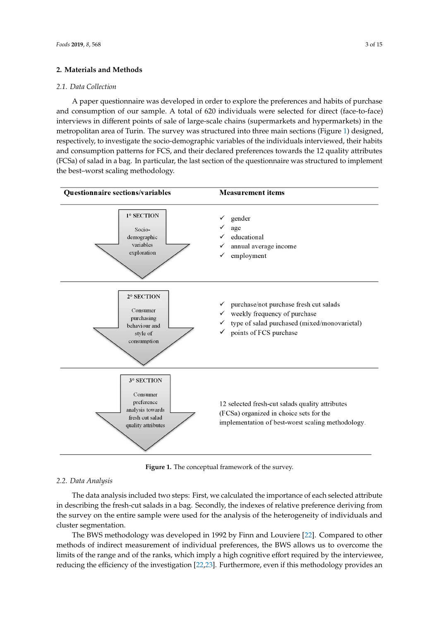# **2. Materials and Methods**

#### *2.1. Data Collection 2.1. Data Collection*

A paper questionnaire was developed in order to explore the preferences and habits of purchase A paper questionnaire was developed in order to explore the preferences and habits of and consumption of our sample. A total of 620 individuals were selected for direct (face-to-face) interviews in different points of sale of large-scale chains (supermarkets and hypermarkets) in the metropolitan area of Turin. The survey was structured into three main sections (Figure 1) designed, respectively, to investigate the socio-demographic variables of the individuals interviewed, their habits and consumption patterns for FCS, and their declared preferences towards the 12 quality attributes (FCSa) of salad in a bag. In particular, the last section of the questionnaire was structured to implement the best–worst scaling methodology.



**Figure 1.** The conceptual framework of the survey.

# *2.2. Data Analysis*

in describing the fresh-cut salads in a bag. Secondly, the indexes of relative preference deriving from the survey on the entire sample were used for the analysis of the heterogeneity of individuals and The data analysis included two steps: First, we calculated the importance of each selected attribute cluster segmentation.

attribute in describing the fresh-cut salads in a bag. Secondly, the indexes of relative preference The BWS methodology was developed in 1992 by Finn and Louviere [22]. Compared to other methods of indirect measurement of individual preferences, the BWS allows us to overcome the limits of the range and of the ranks, which imply a high cognitive effort required by the interviewee, reducing the efficiency of the investigation [22,23]. Furthermore, even if this methodology provides an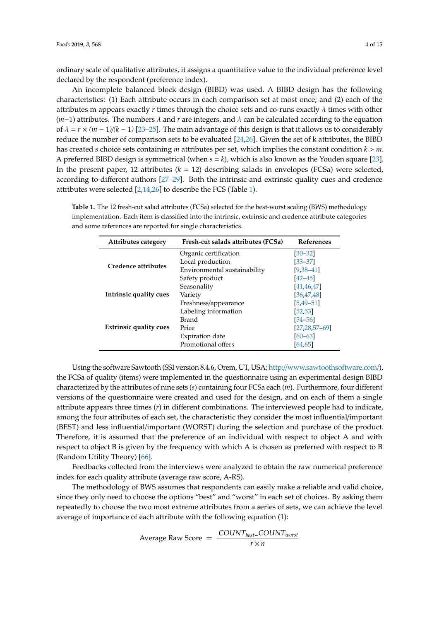ordinary scale of qualitative attributes, it assigns a quantitative value to the individual preference level declared by the respondent (preference index).

An incomplete balanced block design (BIBD) was used. A BIBD design has the following characteristics: (1) Each attribute occurs in each comparison set at most once; and (2) each of the attributes m appears exactly  $r$  times through the choice sets and co-runs exactly  $\lambda$  times with other  $(m-1)$  attributes. The numbers  $\lambda$  and *r* are integers, and  $\lambda$  can be calculated according to the equation of  $\lambda = r \times (m-1)/(k-1)$  [23–25]. The main advantage of this design is that it allows us to considerably reduce the number of comparison sets to be evaluated [24,26]. Given the set of k attributes, the BIBD has created *s* choice sets containing *m* attributes per set, which implies the constant condition *k* > *m*. A preferred BIBD design is symmetrical (when *s* = *k*), which is also known as the Youden square [23]. In the present paper, 12 attributes  $(k = 12)$  describing salads in envelopes (FCSa) were selected, according to different authors  $[27-29]$ . Both the intrinsic and extrinsic quality cues and credence attributes were selected [2,14,26] to describe the FCS (Table 1).

Table 1. The 12 fresh-cut salad attributes (FCSa) selected for the best-worst scaling (BWS) methodology implementation. Each item is classified into the intrinsic, extrinsic and credence attribute categories and some references are reported for single characteristics.

| <b>Attributes category</b>    | Fresh-cut salads attributes (FCSa) | <b>References</b>   |
|-------------------------------|------------------------------------|---------------------|
|                               | Organic certification              | $[30 - 32]$         |
| Credence attributes           | Local production                   | $[33 - 37]$         |
|                               | Environmental sustainability       | $[9,38-41]$         |
|                               | Safety product                     | $[42 - 45]$         |
|                               | Seasonality                        | [41, 46, 47]        |
| Intrinsic quality cues        | Variety                            | [36, 47, 48]        |
|                               | Freshness/appearance               | $[5, 49 - 51]$      |
|                               | Labeling information               | [52, 53]            |
| <b>Extrinsic quality cues</b> | Brand                              | $[54 - 56]$         |
|                               | Price                              | $[27, 28, 57 - 69]$ |
|                               | Expiration date                    | $[60 - 63]$         |
|                               | Promotional offers                 | [64, 65]            |

Using the software Sawtooth (SSI version 8.4.6, Orem, UT, USA; http://www.sawtoothsoftware.com/), the FCSa of quality (items) were implemented in the questionnaire using an experimental design BIBD characterized by the attributes of nine sets (*s*) containing four FCSa each (*m*). Furthermore, four different versions of the questionnaire were created and used for the design, and on each of them a single attribute appears three times  $(r)$  in different combinations. The interviewed people had to indicate, among the four attributes of each set, the characteristic they consider the most influential/important (BEST) and less influential/important (WORST) during the selection and purchase of the product. Therefore, it is assumed that the preference of an individual with respect to object A and with respect to object B is given by the frequency with which A is chosen as preferred with respect to B (Random Utility Theory) [66].

Feedbacks collected from the interviews were analyzed to obtain the raw numerical preference index for each quality attribute (average raw score, A-RS).

The methodology of BWS assumes that respondents can easily make a reliable and valid choice, since they only need to choose the options "best" and "worst" in each set of choices. By asking them repeatedly to choose the two most extreme attributes from a series of sets, we can achieve the level average of importance of each attribute with the following equation (1):

Average Raw Score = 
$$
\frac{COUNT_{best-COUNT_{worst}}}{r \times n}
$$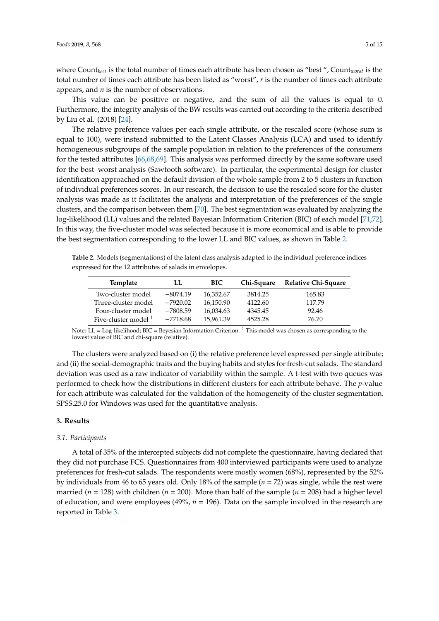appears, and *n* is the number of observations. This value can be positive or negative, and the sum of all the values is equal to 0. Furthermore, the integrity analysis of the BW results was carried out according to the criteria described by Liu et al. (2018) [24].

The relative preference values per each single attribute, or the rescaled score (whose sum is equal to 100), were instead submitted to the Latent Classes Analysis (LCA) and used to identify homogeneous subgroups of the sample population in relation to the preferences of the consumers for the tested attributes [66,68,69]. This analysis was performed directly by the same software used for the best–worst analysis (Sawtooth software). In particular, the experimental design for cluster identification approached on the default division of the whole sample from 2 to 5 clusters in function of individual preferences scores. In our research, the decision to use the rescaled score for the cluster analysis was made as it facilitates the analysis and interpretation of the preferences of the single clusters, and the comparison between them [70]. The best segmentation was evaluated by analyzing the log-likelihood (LL) values and the related Bayesian Information Criterion (BIC) of each model [71,72]. In this way, the five-cluster model was selected because it is more economical and is able to provide the best segmentation corresponding to the lower LL and BIC values, as shown in Table 2.

**Table 2.** Models (segmentations) of the latent class analysis adapted to the individual preference indices expressed for the 12 attributes of salads in envelopes.

| <b>Template</b>        | LL         | BIC-      | Chi-Square | <b>Relative Chi-Square</b> |
|------------------------|------------|-----------|------------|----------------------------|
| Two-cluster model      | $-8074.19$ | 16.352.67 | 3814.25    | 165.83                     |
| Three-cluster model    | $-7920.02$ | 16.150.90 | 4122.60    | 117.79                     |
| Four-cluster model     | $-7808.59$ | 16,034.63 | 4345.45    | 92.46                      |
| Five-cluster model $1$ | $-7718.68$ | 15.961.39 | 4525.28    | 76.70                      |

Note:  $\overline{LL} = \overline{Log\text{-likelihood}}$ ; BIC = Beyesian Information Criterion. <sup>1</sup> This model was chosen as corresponding to the lowest value of BIC and chi-square (relative).

The clusters were analyzed based on (i) the relative preference level expressed per single attribute; and (ii) the social-demographic traits and the buying habits and styles for fresh-cut salads. The standard deviation was used as a raw indicator of variability within the sample. A t-test with two queues was performed to check how the distributions in different clusters for each attribute behave. The *p*-value for each attribute was calculated for the validation of the homogeneity of the cluster segmentation. SPSS.25.0 for Windows was used for the quantitative analysis.

#### **3. Results**

#### *3.1. Participants*

A total of 35% of the intercepted subjects did not complete the questionnaire, having declared that they did not purchase FCS. Questionnaires from 400 interviewed participants were used to analyze preferences for fresh-cut salads. The respondents were mostly women (68%), represented by the 52% by individuals from 46 to 65 years old. Only 18% of the sample (*n* = 72) was single, while the rest were married (*n* = 128) with children (*n* = 200). More than half of the sample (*n* = 208) had a higher level of education, and were employees (49%, *n* = 196). Data on the sample involved in the research are reported in Table 3.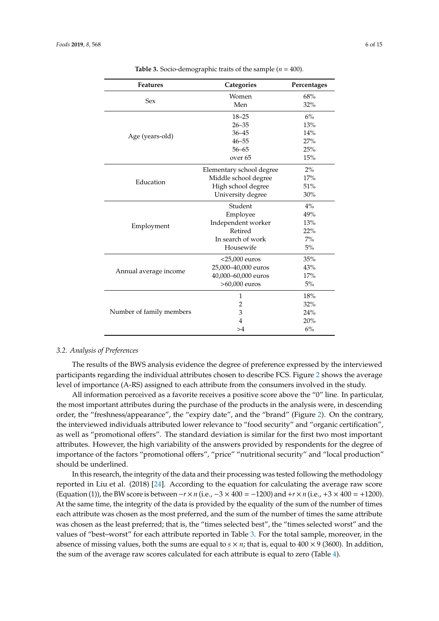| <b>Features</b>          | Categories               | Percentages |  |
|--------------------------|--------------------------|-------------|--|
|                          | Women                    | 68%         |  |
| Sex                      | Men                      | 32%         |  |
|                          | $18 - 25$                | $6\%$       |  |
| Age (years-old)          | $26 - 35$                | 13%         |  |
|                          | $36 - 45$                | 14%         |  |
|                          | $46 - 55$                | 27%         |  |
|                          | $56 - 65$                | 25%         |  |
|                          | over <sub>65</sub>       | 15%         |  |
| Education                | Elementary school degree | $2\%$       |  |
|                          | Middle school degree     | 17%         |  |
|                          | High school degree       | 51%         |  |
|                          | University degree        | 30%         |  |
|                          | Student                  | $4\%$       |  |
|                          | Employee                 | 49%         |  |
| Employment               | Independent worker       | 13%         |  |
|                          | Retired                  | 22%         |  |
|                          | In search of work        | $7\%$       |  |
|                          | Housewife                | $5\%$       |  |
|                          | $<$ 25,000 euros         | 35%         |  |
|                          | 25,000-40,000 euros      | 43%         |  |
| Annual average income    | 40,000-60,000 euros      | 17%         |  |
|                          | >60,000 euros            | $5\%$       |  |
|                          | 1                        | 18%         |  |
|                          | $\overline{2}$           | 32%         |  |
| Number of family members | 3                        | 24%         |  |
|                          | 4                        | 20%         |  |
|                          |                          |             |  |

**Table 3.** Socio-demographic traits of the sample  $(n = 400)$ .

# *3.2. Analysis of Preferences*

The results of the BWS analysis evidence the degree of preference expressed by the interviewed participants regarding the individual attributes chosen to describe FCS. Figure 2 shows the average level of importance (A-RS) assigned to each attribute from the consumers involved in the study.

All information perceived as a favorite receives a positive score above the "0" line. In particular, the most important attributes during the purchase of the products in the analysis were, in descending order, the "freshness/appearance", the "expiry date", and the "brand" (Figure 2). On the contrary, the interviewed individuals attributed lower relevance to "food security" and "organic certification", as well as "promotional offers". The standard deviation is similar for the first two most important attributes. However, the high variability of the answers provided by respondents for the degree of importance of the factors "promotional offers", "price" "nutritional security" and "local production" should be underlined.

In this research, the integrity of the data and their processing was tested following the methodology reported in Liu et al. (2018) [24]. According to the equation for calculating the average raw score (Equation (1)), the BW score is between  $-r \times n$  (i.e.,  $-3 \times 400 = -1200$ ) and  $+r \times n$  (i.e.,  $+3 \times 400 = +1200$ ). At the same time, the integrity of the data is provided by the equality of the sum of the number of times each attribute was chosen as the most preferred, and the sum of the number of times the same attribute was chosen as the least preferred; that is, the "times selected best", the "times selected worst" and the values of "best–worst" for each attribute reported in Table 3. For the total sample, moreover, in the absence of missing values, both the sums are equal to  $s \times n$ ; that is, equal to  $400 \times 9$  (3600). In addition, the sum of the average raw scores calculated for each attribute is equal to zero (Table 4).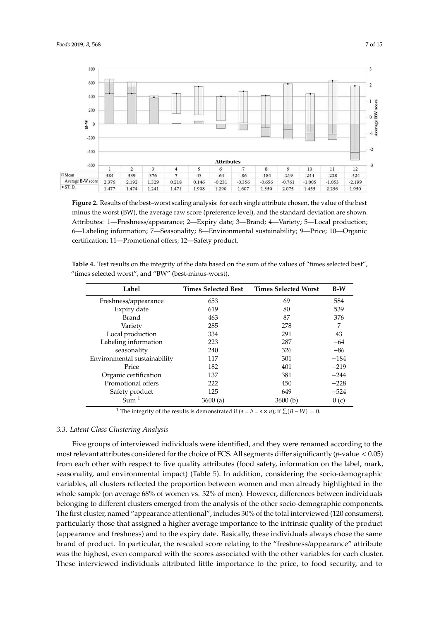

Figure 2. Results of the best-worst scaling analysis: for each single attribute chosen, the value of the best minus the worst (BW), the average raw score (preference level), and the standard deviation are shown. shown. Attributes: 1—Freshness/appearance; 2—Expiry date; 3—Brand; 4—Variety; 5—Local Attributes: 1—Freshness/appearance; 2—Expiry date; 3—Brand; 4—Variety; 5—Local production; production; 6—Labeling information; 7—Seasonality; 8—Environmental sustainability; 9—Price; 6—Labeling information; 7—Seasonality; 8—Environmental sustainability; 9—Price; 10—Organic certification; 11—Promotional offers; 12—Safety product.

**Table 4.** Test results on the integrity of the data based on the sum of the values of "times selected **Table 4.** Test results on the integrity of the data based on the sum of the values of "times selected best", "times selected worst", and "BW" (best-minus-worst).

| Label                        | <b>Times Selected Best</b> | <b>Times Selected Worst</b> | $B-W$  |  |
|------------------------------|----------------------------|-----------------------------|--------|--|
| Freshness/appearance         | 653                        | 69                          | 584    |  |
| Expiry date                  | 619                        | 80                          | 539    |  |
| <b>Brand</b>                 | 463                        | 87                          | 376    |  |
| Variety                      | 285                        | 278                         | 7      |  |
| Local production             | 334                        | 291                         | 43     |  |
| Labeling information         | 223                        | 287                         | $-64$  |  |
| seasonality                  | 240                        | 326                         | $-86$  |  |
| Environmental sustainability | 117                        | 301                         | $-184$ |  |
| Price                        | 182                        | 401                         | $-219$ |  |
| Organic certification        | 137                        | 381                         | $-244$ |  |
| Promotional offers           | 222                        | 450                         | $-228$ |  |
| Safety product               | 125                        | 649                         | $-524$ |  |
| Sum <sup>1</sup>             | 3600(a)                    | 3600(b)                     | 0(c)   |  |

<sup>1</sup> The integrity of the results is demonstrated if  $(a = b = s \times n)$ ; if  $\sum (B - W) = 0$ .

# 1 The integrity of the results is demonstrated if (*a* = *b* = *s* × *n*); if ∑ሺ−ሻ = 0. *3.3. Latent Class Clustering Analysis*

Five groups of interviewed individuals were identified, and they were renamed according to the From each other with respect to five quality attributes (food safety, information on the label, mark, the most relevant at the choice of FCS. All segments different significantly, and environmental impact) (Table 5). In addition, considering the socio-demographic variables, all clusters reflected the proportion between women and men already highlighted in the whole sample (on average 68% of women vs. 32% of men). However, differences between individuals whole sample (on average 68% of women vs. 32% of men). However, differences between individuals belonging to different clusters emerged from the analysis of the other socio-demographic components. highlighted in the whole sample (on average 68% of women vs. 32% of men). However, differences The first cluster, named "appearance attentional", includes 30% of the total interviewed (120 consumers), particularly those that assigned a higher average importance to the intrinsic quality of the product (appearance and freshness) and to the expiry date. Basically, these individuals always chose the same brand of product. In particular, the rescaled score relating to the "freshness/appearance" attribute was the highest, even compared with the scores associated with the other variables for each cluster.<br>The compared with the scores associated with the other variables for each cluster. These interviewed individuals attributed little importance to the price, to food security, and to most relevant attributes considered for the choice of FCS. All segments differ significantly (*p-*value < 0.05)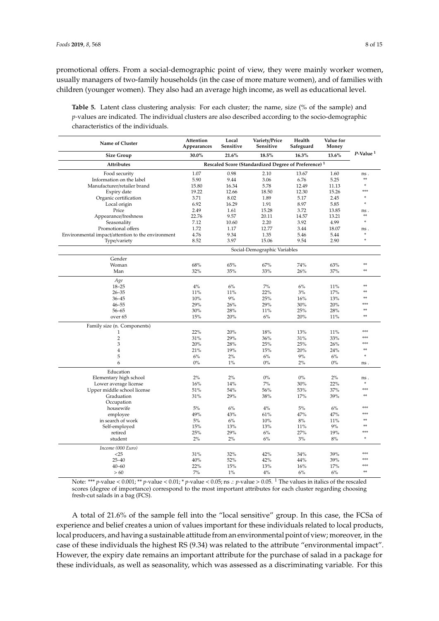promotional offers. From a social-demographic point of view, they were mainly worker women, usually managers of two-family households (in the case of more mature women), and of families with children (younger women). They also had an average high income, as well as educational level.

**Table 5.** Latent class clustering analysis: For each cluster; the name, size (% of the sample) and *p-*values are indicated. The individual clusters are also described according to the socio-demographic characteristics of the individuals.

| Name of Cluster                                   | Attention<br>Appearances                                        | Local<br>Sensitive | Variety/Price<br>Sensitive   | Health<br>Value for<br>Safeguard<br>Money |       |                      |
|---------------------------------------------------|-----------------------------------------------------------------|--------------------|------------------------------|-------------------------------------------|-------|----------------------|
| <b>Size Group</b>                                 | 30.0%                                                           | 21.6%              | 18.5%                        | 16.3%                                     | 13.6% | P-Value <sup>1</sup> |
| <b>Attributes</b>                                 | Rescaled Score (Standardized Degree of Preference) <sup>1</sup> |                    |                              |                                           |       |                      |
| Food security                                     | 1.07                                                            | 0.98               | 2.10                         | 13.67                                     | 1.60  | ns.                  |
| Information on the label                          | 5.90                                                            | 9.44               | 3.06                         | 6.76                                      | 5.25  | $***$                |
| Manufacturer/retailer brand                       | 15.80                                                           | 16.34              | 5.78                         | 12.49                                     | 11.13 | $\ast$               |
| Expiry date                                       | 19.22                                                           | 12.66              | 18.50                        | 12.30                                     | 15.26 | ***                  |
| Organic certification                             | 3.71                                                            | 8.02               | 1.89                         | 5.17                                      | 2.45  | $\ast$               |
| Local origin                                      | 6.92                                                            | 16.29              | 1.91                         | 8.97                                      | 5.85  | $\ast$               |
| Price                                             | 2.49                                                            | 1.61               | 15.28                        | 3.72                                      | 13.85 | ns.                  |
| Appearance/freshness                              | 22.76                                                           | 9.57               | 20.11                        | 14.57                                     | 13.21 | $**$                 |
| Seasonality                                       | 7.12                                                            | 10.60              | 2.20                         | 3.92                                      | 4.99  | $\ast$               |
| Promotional offers                                | 1.72                                                            | 1.17               | 12.77                        | 3.44                                      | 18.07 | ns.                  |
| Environmental impact/attention to the environment | 4.76                                                            | 9.34               | 1.35                         | 5.46                                      | 5.44  | $\ast$               |
| Type/variety                                      | 8.52                                                            | 3.97               | 15.06                        | 9.54                                      | 2.90  | $\ast$               |
|                                                   |                                                                 |                    | Social-Demographic Variables |                                           |       |                      |
| Gender                                            |                                                                 |                    |                              |                                           |       |                      |
| Woman                                             | 68%                                                             | 65%                | 67%                          | 74%                                       | 63%   | $**$                 |
| Man                                               | 32%                                                             | 35%                | 33%                          | 26%                                       | 37%   | $**$                 |
| Age                                               |                                                                 |                    |                              |                                           |       |                      |
| $18 - 25$                                         | 4%                                                              | 6%                 | 7%                           | 6%                                        | 11%   | **                   |
| $26 - 35$                                         | 11%                                                             | 11%                | 22%                          | 3%                                        | 17%   | **                   |
| $36 - 45$                                         | 10%                                                             | 9%                 | 25%                          | 16%                                       | 13%   | **                   |
| $46 - 55$                                         | 29%                                                             | 26%                | 29%                          | 30%                                       | 20%   | ***                  |
| $56 - 65$                                         | 30%                                                             | 28%                | 11%                          | 25%                                       | 28%   | $***$                |
| over 65                                           | 15%                                                             | 20%                | 6%                           | 20%                                       | 11%   | $***$                |
| Family size (n. Components)                       |                                                                 |                    |                              |                                           |       |                      |
| 1                                                 | 22%                                                             | 20%                | 18%                          | 13%                                       | 11%   | ***                  |
| $\overline{2}$                                    | 31%                                                             | 29%                | 36%                          | 31%                                       | 33%   | ***                  |
| 3                                                 | 20%                                                             | 28%                | 25%                          | 25%                                       | 26%   | ***                  |
| $\overline{4}$                                    | 21%                                                             | 19%                | 15%                          | 20%                                       | 24%   | $***$                |
| 5                                                 | 6%                                                              | 2%                 | 6%                           | 9%                                        | $6\%$ | $\ast$               |
| 6                                                 | $0\%$                                                           | $1\%$              | $0\%$                        | 2%                                        | $0\%$ | ns.                  |
| Education                                         |                                                                 |                    |                              |                                           |       |                      |
| Elementary high school                            | 2%                                                              | 2%                 | $0\%$                        | $0\%$                                     | 2%    | ns.                  |
| Lower average license                             | 16%                                                             | 14%                | 7%                           | 30%                                       | 22%   | $\ast$               |
| Upper middle school license                       | 51%                                                             | 54%                | 56%                          | 53%                                       | 37%   | ***                  |
| Graduation                                        | 31%                                                             | 29%                | 38%                          | 17%                                       | 39%   | $**$                 |
| Occupation                                        |                                                                 |                    |                              |                                           |       |                      |
| housewife                                         | 5%                                                              | 6%                 | 4%                           | 5%                                        | 6%    | ***                  |
| employee                                          | 49%                                                             | 43%                | 61%                          | 47%                                       | 47%   | $***$                |
| in search of work                                 | $5\%$                                                           | 6%                 | 10%                          | 8%                                        | 11%   | $**$                 |
| Self-employed                                     | 15%                                                             | 13%                | 13%                          | 11%                                       | 9%    | **                   |
| retired                                           | 25%                                                             | 29%                | 6%                           | 27%                                       | 19%   | ***                  |
| student                                           | 2%                                                              | 2%                 | 6%                           | 3%                                        | 8%    | $\ast$               |
| Income (000 Euro)                                 |                                                                 |                    |                              |                                           |       |                      |
| $<$ 25                                            | 31%                                                             | 32%                | 42%                          | 34%                                       | 39%   | ***                  |
| $25 - 40$                                         | 40%                                                             | 52%                | 42%                          | 44%                                       | 39%   | ***                  |
| $40 - 60$                                         | 22%                                                             | 15%                | 13%                          | 16%                                       | 17%   | ***                  |
| > 60                                              | $7\%$                                                           | $1\%$              | 4%                           | 6%                                        | 6%    | $***$                |

Note: \*\*\* *p-*value < 0.001; \*\* *p-*value < 0.01; \* *p-*value < 0.05; ns .: *p-*value > 0.05. <sup>1</sup> The values in italics of the rescaled scores (degree of importance) correspond to the most important attributes for each cluster regarding choosing fresh-cut salads in a bag (FCS).

A total of 21.6% of the sample fell into the "local sensitive" group. In this case, the FCSa of experience and belief creates a union of values important for these individuals related to local products, local producers, and having a sustainable attitude from an environmental point of view; moreover, in the case of these individuals the highest RS (9.34) was related to the attribute "environmental impact". However, the expiry date remains an important attribute for the purchase of salad in a package for these individuals, as well as seasonality, which was assessed as a discriminating variable. For this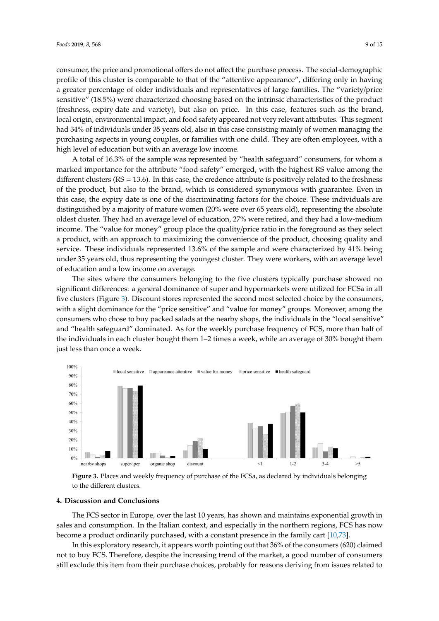consumer, the price and promotional offers do not affect the purchase process. The social-demographic profile of this cluster is comparable to that of the "attentive appearance", differing only in having a greater percentage of older individuals and representatives of large families. The "variety/price sensitive" (18.5%) were characterized choosing based on the intrinsic characteristics of the product (freshness, expiry date and variety), but also on price. In this case, features such as the brand, local origin, environmental impact, and food safety appeared not very relevant attributes. This segment had 34% of individuals under 35 years old, also in this case consisting mainly of women managing the purchasing aspects in young couples, or families with one child. They are often employees, with a high level of education but with an average low income.

A total of 16.3% of the sample was represented by "health safeguard" consumers, for whom a marked importance for the attribute "food safety" emerged, with the highest RS value among the different clusters ( $RS = 13.6$ ). In this case, the credence attribute is positively related to the freshness of the product, but also to the brand, which is considered synonymous with guarantee. Even in this case, the expiry date is one of the discriminating factors for the choice. These individuals are distinguished by a majority of mature women (20% were over 65 years old), representing the absolute oldest cluster. They had an average level of education, 27% were retired, and they had a low-medium income. The "value for money" group place the quality/price ratio in the foreground as they select a product, with an approach to maximizing the convenience of the product, choosing quality and service. These individuals represented 13.6% of the sample and were characterized by 41% being under 35 years old, thus representing the youngest cluster. They were workers, with an average level of education and a low income on average.

The sites where the consumers belonging to the five clusters typically purchase showed no significant differences: a general dominance of super and hypermarkets were utilized for FCSa in all five clusters (Figure 3). Discount stores represented the second most selected choice by the consumers, with a slight dominance for the "price sensitive" and "value for money" groups. Moreover, among the consumers who chose to buy packed salads at the nearby shops, the individuals in the "local sensitive" and "health safeguard" dominated. As for the weekly purchase frequency of FCS, more than half of the individuals in each cluster bought them 1–2 times a week, while an average of 30% bought them just less than once a week.



**Figure 3.** Places and weekly frequency of purchase of the FCSa, as declared by individuals belonging **Figure 3.** Places and weekly frequency of purchase of the FCSa, as declared by individuals belonging to the different clusters.

### **4. Discussion and Conclusions**

The FCS sector in Europe, over the last 10 years, has shown and maintains exponential growth in become a product ordinarily purchased, with a constant presence in the family cart [10,73]. sales and consumption. In the Italian context, and especially in the northern regions, FCS has now

In this exploratory research, it appears worth pointing out that 36% of the consumers (620) claimed not to buy FCS. Therefore, despite the increasing trend of the market, a good number of consumers still exclude this item from their purchase choices, probably for reasons deriving from issues related to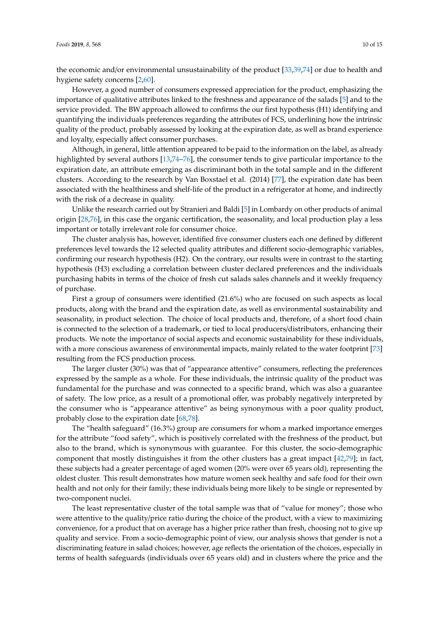the economic and/or environmental unsustainability of the product [33,39,74] or due to health and hygiene safety concerns [2,60].

However, a good number of consumers expressed appreciation for the product, emphasizing the importance of qualitative attributes linked to the freshness and appearance of the salads [5] and to the service provided. The BW approach allowed to confirms the our first hypothesis (H1) identifying and quantifying the individuals preferences regarding the attributes of FCS, underlining how the intrinsic quality of the product, probably assessed by looking at the expiration date, as well as brand experience and loyalty, especially affect consumer purchases.

Although, in general, little attention appeared to be paid to the information on the label, as already highlighted by several authors [13,74–76], the consumer tends to give particular importance to the expiration date, an attribute emerging as discriminant both in the total sample and in the different clusters. According to the research by Van Boxstael et al. (2014) [77], the expiration date has been associated with the healthiness and shelf-life of the product in a refrigerator at home, and indirectly with the risk of a decrease in quality.

Unlike the research carried out by Stranieri and Baldi [5] in Lombardy on other products of animal origin [28,76], in this case the organic certification, the seasonality, and local production play a less important or totally irrelevant role for consumer choice.

The cluster analysis has, however, identified five consumer clusters each one defined by different preferences level towards the 12 selected quality attributes and different socio-demographic variables, confirming our research hypothesis (H2). On the contrary, our results were in contrast to the starting hypothesis (H3) excluding a correlation between cluster declared preferences and the individuals purchasing habits in terms of the choice of fresh cut salads sales channels and it weekly frequency of purchase.

First a group of consumers were identified (21.6%) who are focused on such aspects as local products, along with the brand and the expiration date, as well as environmental sustainability and seasonality, in product selection. The choice of local products and, therefore, of a short food chain is connected to the selection of a trademark, or tied to local producers/distributors, enhancing their products. We note the importance of social aspects and economic sustainability for these individuals, with a more conscious awareness of environmental impacts, mainly related to the water footprint [73] resulting from the FCS production process.

The larger cluster (30%) was that of "appearance attentive" consumers, reflecting the preferences expressed by the sample as a whole. For these individuals, the intrinsic quality of the product was fundamental for the purchase and was connected to a specific brand, which was also a guarantee of safety. The low price, as a result of a promotional offer, was probably negatively interpreted by the consumer who is "appearance attentive" as being synonymous with a poor quality product, probably close to the expiration date [68,78].

The "health safeguard" (16.3%) group are consumers for whom a marked importance emerges for the attribute "food safety", which is positively correlated with the freshness of the product, but also to the brand, which is synonymous with guarantee. For this cluster, the socio-demographic component that mostly distinguishes it from the other clusters has a great impact [42,79]; in fact, these subjects had a greater percentage of aged women (20% were over 65 years old), representing the oldest cluster. This result demonstrates how mature women seek healthy and safe food for their own health and not only for their family; these individuals being more likely to be single or represented by two-component nuclei.

The least representative cluster of the total sample was that of "value for money"; those who were attentive to the quality/price ratio during the choice of the product, with a view to maximizing convenience, for a product that on average has a higher price rather than fresh, choosing not to give up quality and service. From a socio-demographic point of view, our analysis shows that gender is not a discriminating feature in salad choices; however, age reflects the orientation of the choices, especially in terms of health safeguards (individuals over 65 years old) and in clusters where the price and the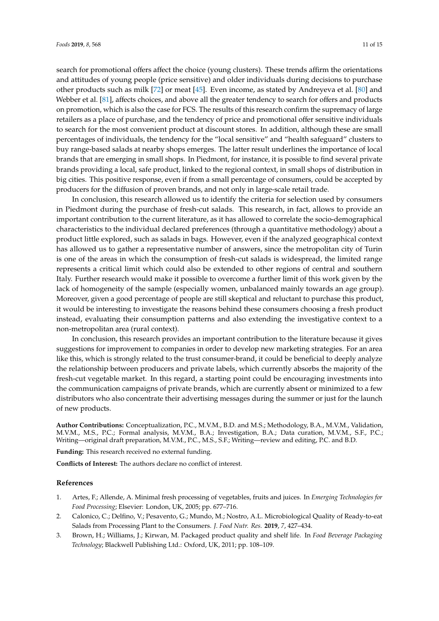search for promotional offers affect the choice (young clusters). These trends affirm the orientations and attitudes of young people (price sensitive) and older individuals during decisions to purchase other products such as milk [72] or meat [45]. Even income, as stated by Andreyeva et al. [80] and Webber et al. [81], affects choices, and above all the greater tendency to search for offers and products on promotion, which is also the case for FCS. The results of this research confirm the supremacy of large retailers as a place of purchase, and the tendency of price and promotional offer sensitive individuals to search for the most convenient product at discount stores. In addition, although these are small percentages of individuals, the tendency for the "local sensitive" and "health safeguard" clusters to buy range-based salads at nearby shops emerges. The latter result underlines the importance of local brands that are emerging in small shops. In Piedmont, for instance, it is possible to find several private brands providing a local, safe product, linked to the regional context, in small shops of distribution in big cities. This positive response, even if from a small percentage of consumers, could be accepted by producers for the diffusion of proven brands, and not only in large-scale retail trade.

In conclusion, this research allowed us to identify the criteria for selection used by consumers in Piedmont during the purchase of fresh-cut salads. This research, in fact, allows to provide an important contribution to the current literature, as it has allowed to correlate the socio-demographical characteristics to the individual declared preferences (through a quantitative methodology) about a product little explored, such as salads in bags. However, even if the analyzed geographical context has allowed us to gather a representative number of answers, since the metropolitan city of Turin is one of the areas in which the consumption of fresh-cut salads is widespread, the limited range represents a critical limit which could also be extended to other regions of central and southern Italy. Further research would make it possible to overcome a further limit of this work given by the lack of homogeneity of the sample (especially women, unbalanced mainly towards an age group). Moreover, given a good percentage of people are still skeptical and reluctant to purchase this product, it would be interesting to investigate the reasons behind these consumers choosing a fresh product instead, evaluating their consumption patterns and also extending the investigative context to a non-metropolitan area (rural context).

In conclusion, this research provides an important contribution to the literature because it gives suggestions for improvement to companies in order to develop new marketing strategies. For an area like this, which is strongly related to the trust consumer-brand, it could be beneficial to deeply analyze the relationship between producers and private labels, which currently absorbs the majority of the fresh-cut vegetable market. In this regard, a starting point could be encouraging investments into the communication campaigns of private brands, which are currently absent or minimized to a few distributors who also concentrate their advertising messages during the summer or just for the launch of new products.

**Author Contributions:** Conceptualization, P.C., M.V.M., B.D. and M.S.; Methodology, B.A., M.V.M., Validation, M.V.M., M.S., P.C.; Formal analysis, M.V.M., B.A.; Investigation, B.A.; Data curation, M.V.M., S.F., P.C.; Writing—original draft preparation, M.V.M., P.C., M.S., S.F.; Writing—review and editing, P.C. and B.D.

**Funding:** This research received no external funding.

**Conflicts of Interest:** The authors declare no conflict of interest.

## **References**

- 1. Artes, F.; Allende, A. Minimal fresh processing of vegetables, fruits and juices. In *Emerging Technologies for Food Processing*; Elsevier: London, UK, 2005; pp. 677–716.
- 2. Calonico, C.; Delfino, V.; Pesavento, G.; Mundo, M.; Nostro, A.L. Microbiological Quality of Ready-to-eat Salads from Processing Plant to the Consumers. *J. Food Nutr. Res.* **2019**, *7*, 427–434.
- 3. Brown, H.; Williams, J.; Kirwan, M. Packaged product quality and shelf life. In *Food Beverage Packaging Technology*; Blackwell Publishing Ltd.: Oxford, UK, 2011; pp. 108–109.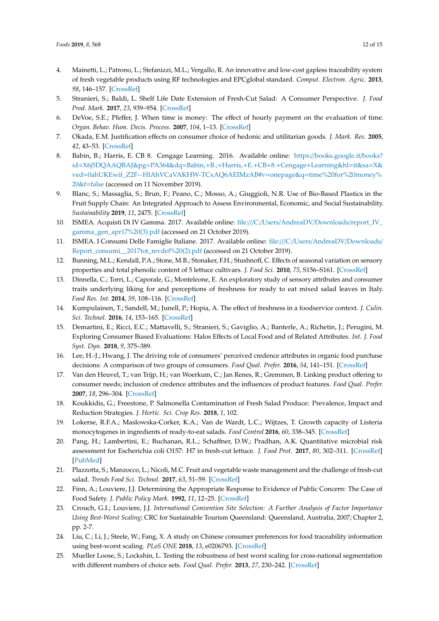- 4. Mainetti, L.; Patrono, L.; Stefanizzi, M.L.; Vergallo, R. An innovative and low-cost gapless traceability system of fresh vegetable products using RF technologies and EPCglobal standard. *Comput. Electron. Agric.* **2013**, *98*, 146–157. [CrossRef]
- 5. Stranieri, S.; Baldi, L. Shelf Life Date Extension of Fresh-Cut Salad: A Consumer Perspective. *J. Food Prod. Mark.* **2017**, *23*, 939–954. [CrossRef]
- 6. DeVoe, S.E.; Pfeffer, J. When time is money: The effect of hourly payment on the evaluation of time. *Organ. Behav. Hum. Decis. Process.* **2007**, *104*, 1–13. [CrossRef]
- 7. Okada, E.M. Justification effects on consumer choice of hedonic and utilitarian goods. *J. Mark. Res.* 2005, *42*, 43–53. [CrossRef]
- 8. Babin, B.; Harris, E. CB 8. Cengage Learning. 2016. Available online: https://books.google.it/books? id=X6j5DQAAQBAJ&pg=PA364&dq=Babin,+B.;+Harris,+E.+CB+8.+Cengage+Learning&hl=it&sa=X& ved=0ahUKEwif\_Z2F--HlAhVCaVAKHW-TCxAQ6AEIMzAB#v=onepage&q=time%20for%20money% 20&f=false (accessed on 11 November 2019).
- 9. Blanc, S.; Massaglia, S.; Brun, F.; Peano, C.; Mosso, A.; Giuggioli, N.R. Use of Bio-Based Plastics in the Fruit Supply Chain: An Integrated Approach to Assess Environmental, Economic, and Social Sustainability. *Sustainability* **2019**, *11*, 2475. [CrossRef]
- 10. ISMEA. Acquisti Di IV Gamma. 2017. Available online: file:///C:/Users/AndreaDV/Downloads/report\_IV\_ gamma\_gen\_apr17%20(3).pdf (accessed on 21 October 2019).
- 11. ISMEA. I Consumi Delle Famiglie Italiane. 2017. Available online: file:///C:/Users/AndreaDV/Downloads/ Report\_consumi\_\_2017tot\_revdef%20(2).pdf (accessed on 21 October 2019).
- 12. Bunning, M.L.; Kendall, P.A.; Stone, M.B.; Stonaker, F.H.; Stushnoff, C. Effects of seasonal variation on sensory properties and total phenolic content of 5 lettuce cultivars. *J. Food Sci.* **2010**, *75*, S156–S161. [CrossRef]
- 13. Dinnella, C.; Torri, L.; Caporale, G.; Monteleone, E. An exploratory study of sensory attributes and consumer traits underlying liking for and perceptions of freshness for ready to eat mixed salad leaves in Italy. *Food Res. Int.* **2014**, *59*, 108–116. [CrossRef]
- 14. Kumpulainen, T.; Sandell, M.; Junell, P.; Hopia, A. The effect of freshness in a foodservice context. *J. Culin. Sci. Technol.* **2016**, *14*, 153–165. [CrossRef]
- 15. Demartini, E.; Ricci, E.C.; Mattavelli, S.; Stranieri, S.; Gaviglio, A.; Banterle, A.; Richetin, J.; Perugini, M. Exploring Consumer Biased Evaluations: Halos Effects of Local Food and of Related Attributes. *Int.* J. Food *Syst. Dyn.* **2018**, *9*, 375–389.
- 16. Lee, H.-J.; Hwang, J. The driving role of consumers' perceived credence attributes in organic food purchase decisions: A comparison of two groups of consumers. *Food Qual. Prefer.* **2016**, *54*, 141–151. [CrossRef]
- 17. Van den Heuvel, T.; van Trijp, H.; van Woerkum, C.; Jan Renes, R.; Gremmen, B. Linking product offering to consumer needs; inclusion of credence attributes and the influences of product features. *Food Qual. Prefer.* **2007**, *18*, 296–304. [CrossRef]
- 18. Koukkidis, G.; Freestone, P. Salmonella Contamination of Fresh Salad Produce: Prevalence, Impact and Reduction Strategies. *J. Hortic. Sci. Crop Res.* **2018**, *1*, 102.
- 19. Lokerse, R.F.A.; Maslowska-Corker, K.A.; Van de Wardt, L.C.; Wijtzes, T. Growth capacity of Listeria monocytogenes in ingredients of ready-to-eat salads. *Food Control* **2016**, *60*, 338–345. [CrossRef]
- 20. Pang, H.; Lambertini, E.; Buchanan, R.L.; Schaffner, D.W.; Pradhan, A.K. Quantitative microbial risk assessment for Escherichia coli O157: H7 in fresh-cut lettuce. *J. Food Prot.* **2017**, *80*, 302–311. [CrossRef] [PubMed]
- 21. Plazzotta, S.; Manzocco, L.; Nicoli, M.C. Fruit and vegetable waste management and the challenge of fresh-cut salad. *Trends Food Sci. Technol.* **2017**, *63*, 51–59. [CrossRef]
- 22. Finn, A.; Louviere, J.J. Determining the Appropriate Response to Evidence of Public Concern: The Case of Food Safety. *J. Public Policy Mark.* **1992**, *11*, 12–25. [CrossRef]
- 23. Crouch, G.I.; Louviere, J.J. *International Convention Site Selection: A Further Analysis of Factor Importance Using Best-Worst Scaling*; CRC for Sustainable Tourism Queensland: Queensland, Australia, 2007; Chapter 2, pp. 2-7.
- 24. Liu, C.; Li, J.; Steele, W.; Fang, X. A study on Chinese consumer preferences for food traceability information using best-worst scaling. *PLoS ONE* **2018**, *13*, e0206793. [CrossRef]
- 25. Mueller Loose, S.; Lockshin, L. Testing the robustness of best worst scaling for cross-national segmentation with different numbers of choice sets. Food Qual. Prefer. 2013, 27, 230-242. [CrossRef]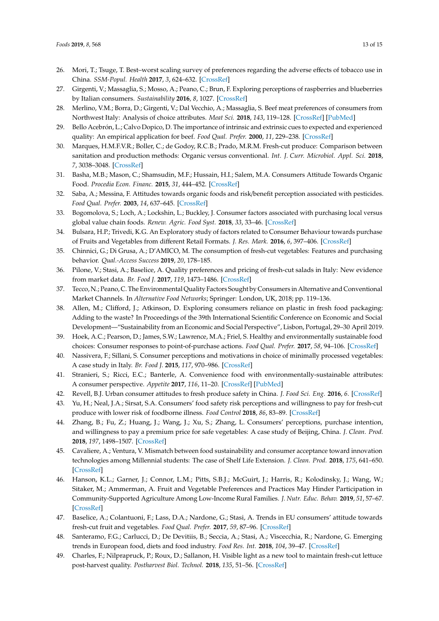- 26. Mori, T.; Tsuge, T. Best–worst scaling survey of preferences regarding the adverse effects of tobacco use in China. *SSM-Popul. Health* **2017**, *3*, 624–632. [CrossRef]
- 27. Girgenti, V.; Massaglia, S.; Mosso, A.; Peano, C.; Brun, F. Exploring perceptions of raspberries and blueberries by Italian consumers. *Sustainability* **2016**, *8*, 1027. [CrossRef]
- 28. Merlino, V.M.; Borra, D.; Girgenti, V.; Dal Vecchio, A.; Massaglia, S. Beef meat preferences of consumers from Northwest Italy: Analysis of choice attributes. *Meat Sci.* **2018**, *143*, 119–128. [CrossRef] [PubMed]
- 29. Bello Acebrón, L.; Calvo Dopico, D. The importance of intrinsic and extrinsic cues to expected and experienced quality: An empirical application for beef. *Food Qual. Prefer.* **2000**, *11*, 229–238. [CrossRef]
- 30. Marques, H.M.F.V.R.; Boller, C.; de Godoy, R.C.B.; Prado, M.R.M. Fresh-cut produce: Comparison between sanitation and production methods: Organic versus conventional. *Int. J. Curr. Microbiol. Appl. Sci.* **2018**, *7*, 3038–3048. [CrossRef]
- 31. Basha, M.B.; Mason, C.; Shamsudin, M.F.; Hussain, H.I.; Salem, M.A. Consumers Attitude Towards Organic Food. *Procedia Econ. Financ.* **2015**, *31*, 444–452. [CrossRef]
- 32. Saba, A.; Messina, F. Attitudes towards organic foods and risk/benefit perception associated with pesticides. *Food Qual. Prefer.* **2003**, *14*, 637–645. [CrossRef]
- 33. Bogomolova, S.; Loch, A.; Lockshin, L.; Buckley, J. Consumer factors associated with purchasing local versus global value chain foods. *Renew. Agric. Food Syst.* **2018**, *33*, 33–46. [CrossRef]
- 34. Bulsara, H.P.; Trivedi, K.G. An Exploratory study of factors related to Consumer Behaviour towards purchase of Fruits and Vegetables from different Retail Formats. *J. Res. Mark.* 2016, 6, 397-406. [CrossRef]
- 35. Chinnici, G.; Di Grusa, A.; D'AMICO, M. The consumption of fresh-cut vegetables: Features and purchasing behavior. *Qual.-Access Success* **2019**, *20*, 178–185.
- 36. Pilone, V.; Stasi, A.; Baselice, A. Quality preferences and pricing of fresh-cut salads in Italy: New evidence from market data. *Br. Food J.* **2017**, *119*, 1473–1486. [CrossRef]
- 37. Tecco, N.; Peano, C. The Environmental Quality Factors Sought by Consumers in Alternative and Conventional Market Channels. In *Alternative Food Networks*; Springer: London, UK, 2018; pp. 119–136.
- 38. Allen, M.; Clifford, J.; Atkinson, D. Exploring consumers reliance on plastic in fresh food packaging: Adding to the waste? In Proceedings of the 39th International Scientific Conference on Economic and Social Development—"Sustainability from an Economic and Social Perspective", Lisbon, Portugal, 29–30 April 2019.
- 39. Hoek, A.C.; Pearson, D.; James, S.W.; Lawrence, M.A.; Friel, S. Healthy and environmentally sustainable food choices: Consumer responses to point-of-purchase actions. *Food Qual. Prefer.* **2017**, *58*, 94–106. [CrossRef]
- 40. Nassivera, F.; Sillani, S. Consumer perceptions and motivations in choice of minimally processed vegetables: A case study in Italy. *Br. Food J.* **2015**, *117*, 970–986. [CrossRef]
- 41. Stranieri, S.; Ricci, E.C.; Banterle, A. Convenience food with environmentally-sustainable attributes: A consumer perspective. *Appetite* **2017**, *116*, 11–20. [CrossRef] [PubMed]
- 42. Revell, B.J. Urban consumer attitudes to fresh produce safety in China. *J. Food Sci. Eng.* **2016**, *6*. [CrossRef]
- 43. Yu, H.; Neal, J.A.; Sirsat, S.A. Consumers' food safety risk perceptions and willingness to pay for fresh-cut produce with lower risk of foodborne illness. *Food Control* **2018**, *86*, 83–89. [CrossRef]
- 44. Zhang, B.; Fu, Z.; Huang, J.; Wang, J.; Xu, S.; Zhang, L. Consumers' perceptions, purchase intention, and willingness to pay a premium price for safe vegetables: A case study of Beijing, China. *J. Clean. Prod.* **2018**, *197*, 1498–1507. [CrossRef]
- 45. Cavaliere, A.; Ventura, V. Mismatch between food sustainability and consumer acceptance toward innovation technologies among Millennial students: The case of Shelf Life Extension. *J. Clean. Prod.* **2018**, *175*, 641–650. [CrossRef]
- 46. Hanson, K.L.; Garner, J.; Connor, L.M.; Pitts, S.B.J.; McGuirt, J.; Harris, R.; Kolodinsky, J.; Wang, W.; Sitaker, M.; Ammerman, A. Fruit and Vegetable Preferences and Practices May Hinder Participation in Community-Supported Agriculture Among Low-Income Rural Families. *J. Nutr. Educ. Behav.* **2019**, *51*, 57–67. [CrossRef]
- 47. Baselice, A.; Colantuoni, F.; Lass, D.A.; Nardone, G.; Stasi, A. Trends in EU consumers' attitude towards fresh-cut fruit and vegetables. *Food Qual. Prefer.* **2017**, *59*, 87–96. [CrossRef]
- 48. Santeramo, F.G.; Carlucci, D.; De Devitiis, B.; Seccia, A.; Stasi, A.; Viscecchia, R.; Nardone, G. Emerging trends in European food, diets and food industry. *Food Res. Int.* **2018**, *104*, 39–47. [CrossRef]
- 49. Charles, F.; Nilprapruck, P.; Roux, D.; Sallanon, H. Visible light as a new tool to maintain fresh-cut lettuce post-harvest quality. *Postharvest Biol. Technol.* **2018**, *135*, 51–56. [CrossRef]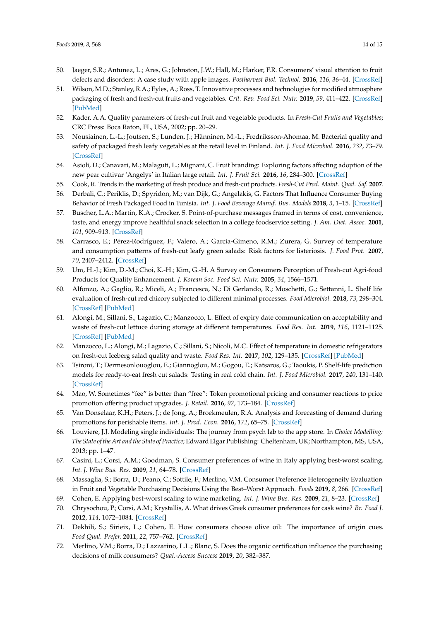- 50. Jaeger, S.R.; Antunez, L.; Ares, G.; Johnston, J.W.; Hall, M.; Harker, F.R. Consumers' visual attention to fruit defects and disorders: A case study with apple images. *Postharvest Biol. Technol.* **2016**, *116*, 36–44. [CrossRef]
- 51. Wilson, M.D.; Stanley, R.A.; Eyles, A.; Ross, T. Innovative processes and technologies for modified atmosphere packaging of fresh and fresh-cut fruits and vegetables. *Crit. Rev. Food Sci. Nutr.* **2019**, *59*, 411–422. [CrossRef] [PubMed]
- 52. Kader, A.A. Quality parameters of fresh-cut fruit and vegetable products. In *Fresh-Cut Fruits and Vegetables*; CRC Press: Boca Raton, FL, USA, 2002; pp. 20–29.
- 53. Nousiainen, L.-L.; Joutsen, S.; Lunden, J.; Hänninen, M.-L.; Fredriksson-Ahomaa, M. Bacterial quality and safety of packaged fresh leafy vegetables at the retail level in Finland. *Int. J. Food Microbiol.* **2016**, *232*, 73–79. [CrossRef]
- 54. Asioli, D.; Canavari, M.; Malaguti, L.; Mignani, C. Fruit branding: Exploring factors affecting adoption of the new pear cultivar 'Angelys' in Italian large retail. *Int. J. Fruit Sci.* **2016**, *16*, 284–300. [CrossRef]
- 55. Cook, R. Trends in the marketing of fresh produce and fresh-cut products. *Fresh-Cut Prod. Maint. Qual. Saf.* **2007**.
- 56. Derbali, C.; Periklis, D.; Spyridon, M.; van Dijk, G.; Angelakis, G. Factors That Influence Consumer Buying Behavior of Fresh Packaged Food in Tunisia. *Int. J. Food Beverage Manuf. Bus. Models* **2018**, *3*, 1–15. [CrossRef]
- 57. Buscher, L.A.; Martin, K.A.; Crocker, S. Point-of-purchase messages framed in terms of cost, convenience, taste, and energy improve healthful snack selection in a college foodservice setting. *J. Am. Diet. Assoc.* **2001**, *101*, 909–913. [CrossRef]
- 58. Carrasco, E.; Pérez-Rodríguez, F.; Valero, A.; García-Gimeno, R.M.; Zurera, G. Survey of temperature and consumption patterns of fresh-cut leafy green salads: Risk factors for listeriosis. *J. Food Prot.* **2007**, *70*, 2407–2412. [CrossRef]
- 59. Um, H.-J.; Kim, D.-M.; Choi, K.-H.; Kim, G.-H. A Survey on Consumers Perception of Fresh-cut Agri-food Products for Quality Enhancement. *J. Korean Soc. Food Sci. Nutr.* **2005**, *34*, 1566–1571.
- 60. Alfonzo, A.; Gaglio, R.; Miceli, A.; Francesca, N.; Di Gerlando, R.; Moschetti, G.; Settanni, L. Shelf life evaluation of fresh-cut red chicory subjected to different minimal processes. Food Microbiol. 2018, 73, 298-304. [CrossRef] [PubMed]
- 61. Alongi, M.; Sillani, S.; Lagazio, C.; Manzocco, L. Effect of expiry date communication on acceptability and waste of fresh-cut lettuce during storage at different temperatures. *Food Res. Int.* **2019**, 116, 1121-1125. [CrossRef] [PubMed]
- 62. Manzocco, L.; Alongi, M.; Lagazio, C.; Sillani, S.; Nicoli, M.C. Effect of temperature in domestic refrigerators on fresh-cut Iceberg salad quality and waste. *Food Res. Int.* **2017**, *102*, 129–135. [CrossRef] [PubMed]
- 63. Tsironi, T.; Dermesonlouoglou, E.; Giannoglou, M.; Gogou, E.; Katsaros, G.; Taoukis, P. Shelf-life prediction models for ready-to-eat fresh cut salads: Testing in real cold chain. *Int. J. Food Microbiol.* **2017**, *240*, 131–140. [CrossRef]
- 64. Mao, W. Sometimes "fee" is better than "free": Token promotional pricing and consumer reactions to price promotion offering product upgrades. *J. Retail.* **2016**, 92, 173–184. [CrossRef]
- 65. Van Donselaar, K.H.; Peters, J.; de Jong, A.; Broekmeulen, R.A. Analysis and forecasting of demand during promotions for perishable items. *Int. J. Prod. Econ.* **2016**, *172*, 65–75. [CrossRef]
- 66. Louviere, J.J. Modeling single individuals: The journey from psych lab to the app store. In *Choice Modelling: The State of the Art and the State of Practice*; Edward Elgar Publishing: Cheltenham, UK; Northampton, MS, USA, 2013; pp. 1–47.
- 67. Casini, L.; Corsi, A.M.; Goodman, S. Consumer preferences of wine in Italy applying best-worst scaling. *Int. J. Wine Bus. Res.* **2009**, *21*, 64–78. [CrossRef]
- 68. Massaglia, S.; Borra, D.; Peano, C.; Sottile, F.; Merlino, V.M. Consumer Preference Heterogeneity Evaluation in Fruit and Vegetable Purchasing Decisions Using the Best–Worst Approach. *Foods* **2019**, *8*, 266. [CrossRef]
- 69. Cohen, E. Applying best-worst scaling to wine marketing. *Int. J. Wine Bus. Res.* **2009**, *21*, 8–23. [CrossRef]
- 70. Chrysochou, P.; Corsi, A.M.; Krystallis, A. What drives Greek consumer preferences for cask wine? *Br. Food J.* **2012**, *114*, 1072–1084. [CrossRef]
- 71. Dekhili, S.; Sirieix, L.; Cohen, E. How consumers choose olive oil: The importance of origin cues. *Food Qual. Prefer.* **2011**, *22*, 757–762. [CrossRef]
- 72. Merlino, V.M.; Borra, D.; Lazzarino, L.L.; Blanc, S. Does the organic certification influence the purchasing decisions of milk consumers? *Qual.-Access Success* **2019**, *20*, 382–387.